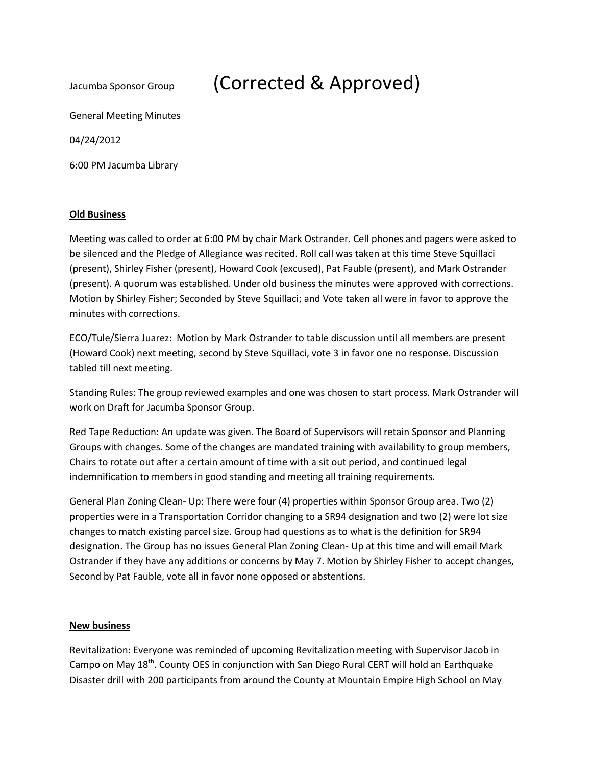# Jacumba Sponsor Group (Corrected & Approved)

General Meeting Minutes

04/24/2012

6:00 PM Jacumba Library

### **Old Business**

Meeting was called to order at 6:00 PM by chair Mark Ostrander. Cell phones and pagers were asked to be silenced and the Pledge of Allegiance was recited. Roll call was taken at this time Steve Squillaci (present), Shirley Fisher (present), Howard Cook (excused), Pat Fauble (present), and Mark Ostrander (present). A quorum was established. Under old business the minutes were approved with corrections. Motion by Shirley Fisher; Seconded by Steve Squillaci; and Vote taken all were in favor to approve the minutes with corrections.

ECO/Tule/Sierra Juarez: Motion by Mark Ostrander to table discussion until all members are present (Howard Cook) next meeting, second by Steve Squillaci, vote 3 in favor one no response. Discussion tabled till next meeting.

Standing Rules: The group reviewed examples and one was chosen to start process. Mark Ostrander will work on Draft for Jacumba Sponsor Group.

Red Tape Reduction: An update was given. The Board of Supervisors will retain Sponsor and Planning Groups with changes. Some of the changes are mandated training with availability to group members, Chairs to rotate out after a certain amount of time with a sit out period, and continued legal indemnification to members in good standing and meeting all training requirements.

General Plan Zoning Clean- Up: There were four (4) properties within Sponsor Group area. Two (2) properties were in a Transportation Corridor changing to a SR94 designation and two (2) were lot size changes to match existing parcel size. Group had questions as to what is the definition for SR94 designation. The Group has no issues General Plan Zoning Clean- Up at this time and will email Mark Ostrander if they have any additions or concerns by May 7. Motion by Shirley Fisher to accept changes, Second by Pat Fauble, vote all in favor none opposed or abstentions.

### **New business**

Revitalization: Everyone was reminded of upcoming Revitalization meeting with Supervisor Jacob in Campo on May 18<sup>th</sup>. County OES in conjunction with San Diego Rural CERT will hold an Earthquake Disaster drill with 200 participants from around the County at Mountain Empire High School on May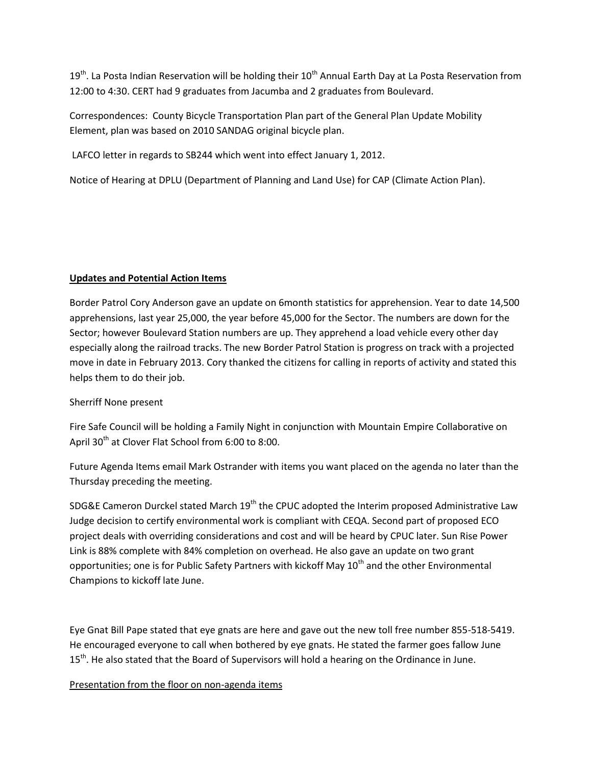$19<sup>th</sup>$ . La Posta Indian Reservation will be holding their  $10<sup>th</sup>$  Annual Earth Day at La Posta Reservation from 12:00 to 4:30. CERT had 9 graduates from Jacumba and 2 graduates from Boulevard.

Correspondences: County Bicycle Transportation Plan part of the General Plan Update Mobility Element, plan was based on 2010 SANDAG original bicycle plan.

LAFCO letter in regards to SB244 which went into effect January 1, 2012.

Notice of Hearing at DPLU (Department of Planning and Land Use) for CAP (Climate Action Plan).

## **Updates and Potential Action Items**

Border Patrol Cory Anderson gave an update on 6month statistics for apprehension. Year to date 14,500 apprehensions, last year 25,000, the year before 45,000 for the Sector. The numbers are down for the Sector; however Boulevard Station numbers are up. They apprehend a load vehicle every other day especially along the railroad tracks. The new Border Patrol Station is progress on track with a projected move in date in February 2013. Cory thanked the citizens for calling in reports of activity and stated this helps them to do their job.

# Sherriff None present

Fire Safe Council will be holding a Family Night in conjunction with Mountain Empire Collaborative on April 30<sup>th</sup> at Clover Flat School from 6:00 to 8:00.

Future Agenda Items email Mark Ostrander with items you want placed on the agenda no later than the Thursday preceding the meeting.

SDG&E Cameron Durckel stated March 19<sup>th</sup> the CPUC adopted the Interim proposed Administrative Law Judge decision to certify environmental work is compliant with CEQA. Second part of proposed ECO project deals with overriding considerations and cost and will be heard by CPUC later. Sun Rise Power Link is 88% complete with 84% completion on overhead. He also gave an update on two grant opportunities; one is for Public Safety Partners with kickoff May  $10<sup>th</sup>$  and the other Environmental Champions to kickoff late June.

Eye Gnat Bill Pape stated that eye gnats are here and gave out the new toll free number 855-518-5419. He encouraged everyone to call when bothered by eye gnats. He stated the farmer goes fallow June 15<sup>th</sup>. He also stated that the Board of Supervisors will hold a hearing on the Ordinance in June.

# Presentation from the floor on non-agenda items